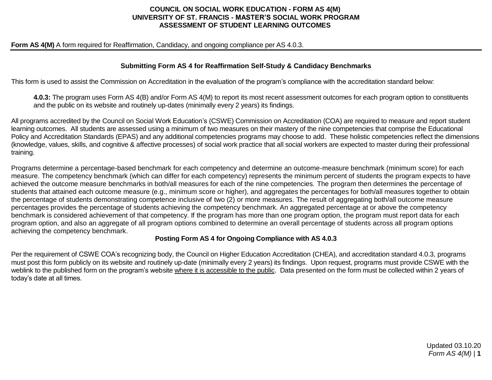## **COUNCIL ON SOCIAL WORK EDUCATION - FORM AS 4(M) UNIVERSITY OF ST. FRANCIS - MASTER'S SOCIAL WORK PROGRAM ASSESSMENT OF STUDENT LEARNING OUTCOMES**

#### **Form AS 4(M)** A form required for Reaffirmation, Candidacy, and ongoing compliance per AS 4.0.3.

### **Submitting Form AS 4 for Reaffirmation Self-Study & Candidacy Benchmarks**

This form is used to assist the Commission on Accreditation in the evaluation of the program's compliance with the accreditation standard below:

**4.0.3:** The program uses Form AS 4(B) and/or Form AS 4(M) to report its most recent assessment outcomes for each program option to constituents and the public on its website and routinely up-dates (minimally every 2 years) its findings.

All programs accredited by the Council on Social Work Education's (CSWE) Commission on Accreditation (COA) are required to measure and report student learning outcomes. All students are assessed using a minimum of two measures on their mastery of the nine competencies that comprise the Educational Policy and Accreditation Standards (EPAS) and any additional competencies programs may choose to add. These holistic competencies reflect the dimensions (knowledge, values, skills, and cognitive & affective processes) of social work practice that all social workers are expected to master during their professional training.

Programs determine a percentage-based benchmark for each competency and determine an outcome-measure benchmark (minimum score) for each measure. The competency benchmark (which can differ for each competency) represents the minimum percent of students the program expects to have achieved the outcome measure benchmarks in both/all measures for each of the nine competencies. The program then determines the percentage of students that attained each outcome measure (e.g., minimum score or higher), and aggregates the percentages for both/all measures together to obtain the percentage of students demonstrating competence inclusive of two (2) or more measures. The result of aggregating both/all outcome measure percentages provides the percentage of students achieving the competency benchmark. An aggregated percentage at or above the competency benchmark is considered achievement of that competency. If the program has more than one program option, the program must report data for each program option, and also an aggregate of all program options combined to determine an overall percentage of students across all program options achieving the competency benchmark.

#### **Posting Form AS 4 for Ongoing Compliance with AS 4.0.3**

Per the requirement of CSWE COA's recognizing body, the Council on Higher Education Accreditation (CHEA), and accreditation standard 4.0.3, programs must post this form publicly on its website and routinely up-date (minimally every 2 years) its findings. Upon request, programs must provide CSWE with the weblink to the published form on the program's website where it is accessible to the public. Data presented on the form must be collected within 2 years of today's date at all times.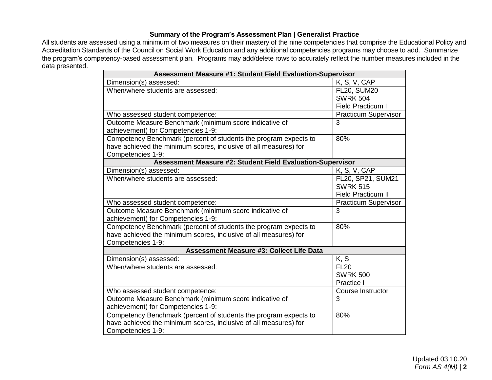# **Summary of the Program's Assessment Plan | Generalist Practice**

All students are assessed using a minimum of two measures on their mastery of the nine competencies that comprise the Educational Policy and Accreditation Standards of the Council on Social Work Education and any additional competencies programs may choose to add. Summarize the program's competency-based assessment plan. Programs may add/delete rows to accurately reflect the number measures included in the data presented.

| <b>Assessment Measure #1: Student Field Evaluation-Supervisor</b> |                             |
|-------------------------------------------------------------------|-----------------------------|
| Dimension(s) assessed:                                            | K, S, V, CAP                |
| When/where students are assessed:                                 | <b>FL20, SUM20</b>          |
|                                                                   | <b>SWRK 504</b>             |
|                                                                   | Field Practicum I           |
| Who assessed student competence:                                  | <b>Practicum Supervisor</b> |
| Outcome Measure Benchmark (minimum score indicative of            | 3                           |
| achievement) for Competencies 1-9:                                |                             |
| Competency Benchmark (percent of students the program expects to  | 80%                         |
| have achieved the minimum scores, inclusive of all measures) for  |                             |
| Competencies 1-9:                                                 |                             |
| <b>Assessment Measure #2: Student Field Evaluation-Supervisor</b> |                             |
| Dimension(s) assessed:                                            | K, S, V, CAP                |
| When/where students are assessed:                                 | FL20, SP21, SUM21           |
|                                                                   | <b>SWRK 515</b>             |
|                                                                   | <b>Field Practicum II</b>   |
| Who assessed student competence:                                  | <b>Practicum Supervisor</b> |
| Outcome Measure Benchmark (minimum score indicative of            | 3                           |
| achievement) for Competencies 1-9:                                |                             |
| Competency Benchmark (percent of students the program expects to  | 80%                         |
| have achieved the minimum scores, inclusive of all measures) for  |                             |
| Competencies 1-9:                                                 |                             |
| <b>Assessment Measure #3: Collect Life Data</b>                   |                             |
| Dimension(s) assessed:                                            | K, S                        |
| When/where students are assessed:                                 | <b>FL20</b>                 |
|                                                                   | <b>SWRK 500</b>             |
|                                                                   | Practice I                  |
| Who assessed student competence:                                  | Course Instructor           |
| Outcome Measure Benchmark (minimum score indicative of            | 3                           |
| achievement) for Competencies 1-9:                                |                             |
| Competency Benchmark (percent of students the program expects to  | 80%                         |
| have achieved the minimum scores, inclusive of all measures) for  |                             |
| Competencies 1-9:                                                 |                             |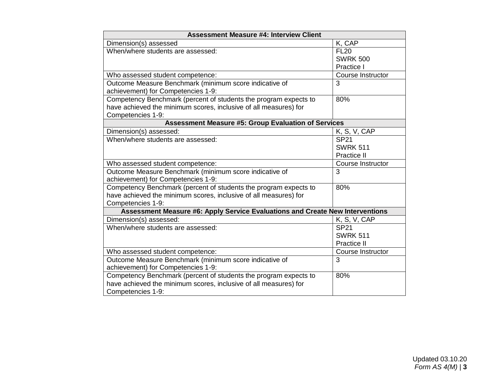| <b>Assessment Measure #4: Interview Client</b>                                |                   |
|-------------------------------------------------------------------------------|-------------------|
| Dimension(s) assessed                                                         | K, CAP            |
| When/where students are assessed:                                             | <b>FL20</b>       |
|                                                                               | <b>SWRK 500</b>   |
|                                                                               | Practice I        |
| Who assessed student competence:                                              | Course Instructor |
| Outcome Measure Benchmark (minimum score indicative of                        | 3                 |
| achievement) for Competencies 1-9:                                            |                   |
| Competency Benchmark (percent of students the program expects to              | 80%               |
| have achieved the minimum scores, inclusive of all measures) for              |                   |
| Competencies 1-9:                                                             |                   |
| <b>Assessment Measure #5: Group Evaluation of Services</b>                    |                   |
| Dimension(s) assessed:                                                        | K, S, V, CAP      |
| When/where students are assessed:                                             | <b>SP21</b>       |
|                                                                               | <b>SWRK 511</b>   |
|                                                                               | Practice II       |
| Who assessed student competence:                                              | Course Instructor |
| Outcome Measure Benchmark (minimum score indicative of                        | 3                 |
| achievement) for Competencies 1-9:                                            |                   |
| Competency Benchmark (percent of students the program expects to              | 80%               |
| have achieved the minimum scores, inclusive of all measures) for              |                   |
| Competencies 1-9:                                                             |                   |
| Assessment Measure #6: Apply Service Evaluations and Create New Interventions |                   |
| Dimension(s) assessed:                                                        | K, S, V, CAP      |
| When/where students are assessed:                                             | <b>SP21</b>       |
|                                                                               | <b>SWRK 511</b>   |
|                                                                               | Practice II       |
| Who assessed student competence:                                              | Course Instructor |
| Outcome Measure Benchmark (minimum score indicative of                        | 3                 |
| achievement) for Competencies 1-9:                                            |                   |
| Competency Benchmark (percent of students the program expects to              | 80%               |
| have achieved the minimum scores, inclusive of all measures) for              |                   |
| Competencies 1-9:                                                             |                   |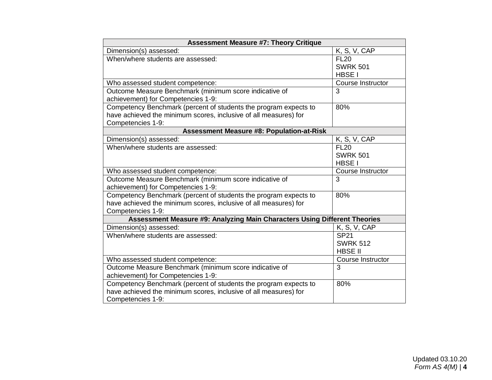| <b>Assessment Measure #7: Theory Critique</b>                             |                   |
|---------------------------------------------------------------------------|-------------------|
| Dimension(s) assessed:                                                    | K, S, V, CAP      |
| When/where students are assessed:                                         | <b>FL20</b>       |
|                                                                           | <b>SWRK 501</b>   |
|                                                                           | HBSE I            |
| Who assessed student competence:                                          | Course Instructor |
| Outcome Measure Benchmark (minimum score indicative of                    | $\overline{3}$    |
| achievement) for Competencies 1-9:                                        |                   |
| Competency Benchmark (percent of students the program expects to          | 80%               |
| have achieved the minimum scores, inclusive of all measures) for          |                   |
| Competencies 1-9:                                                         |                   |
| <b>Assessment Measure #8: Population-at-Risk</b>                          |                   |
| Dimension(s) assessed:                                                    | K, S, V, CAP      |
| When/where students are assessed:                                         | <b>FL20</b>       |
|                                                                           | <b>SWRK 501</b>   |
|                                                                           | HBSE I            |
| Who assessed student competence:                                          | Course Instructor |
| Outcome Measure Benchmark (minimum score indicative of                    | 3                 |
| achievement) for Competencies 1-9:                                        |                   |
| Competency Benchmark (percent of students the program expects to          | 80%               |
| have achieved the minimum scores, inclusive of all measures) for          |                   |
| Competencies 1-9:                                                         |                   |
| Assessment Measure #9: Analyzing Main Characters Using Different Theories |                   |
| Dimension(s) assessed:                                                    | K, S, V, CAP      |
| When/where students are assessed:                                         | <b>SP21</b>       |
|                                                                           | <b>SWRK 512</b>   |
|                                                                           | <b>HBSE II</b>    |
| Who assessed student competence:                                          | Course Instructor |
| Outcome Measure Benchmark (minimum score indicative of                    | 3                 |
| achievement) for Competencies 1-9:                                        |                   |
| Competency Benchmark (percent of students the program expects to          | 80%               |
| have achieved the minimum scores, inclusive of all measures) for          |                   |
| Competencies 1-9:                                                         |                   |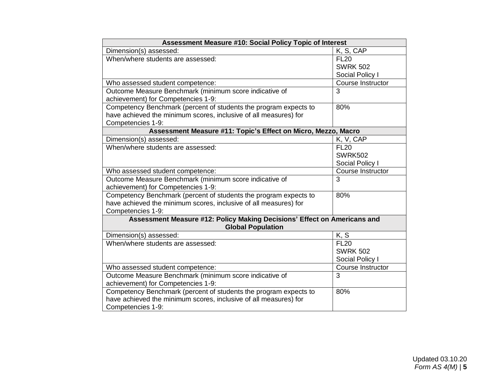| Assessment Measure #10: Social Policy Topic of Interest                  |                          |
|--------------------------------------------------------------------------|--------------------------|
| Dimension(s) assessed:                                                   | K, S, CAP                |
| When/where students are assessed:                                        | <b>FL20</b>              |
|                                                                          | <b>SWRK 502</b>          |
|                                                                          | Social Policy I          |
| Who assessed student competence:                                         | <b>Course Instructor</b> |
| Outcome Measure Benchmark (minimum score indicative of                   | 3                        |
| achievement) for Competencies 1-9:                                       |                          |
| Competency Benchmark (percent of students the program expects to         | 80%                      |
| have achieved the minimum scores, inclusive of all measures) for         |                          |
| Competencies 1-9:                                                        |                          |
| Assessment Measure #11: Topic's Effect on Micro, Mezzo, Macro            |                          |
| Dimension(s) assessed:                                                   | $\overline{K}$ , V, CAP  |
| When/where students are assessed:                                        | <b>FL20</b>              |
|                                                                          | <b>SWRK502</b>           |
|                                                                          | Social Policy I          |
| Who assessed student competence:                                         | Course Instructor        |
| Outcome Measure Benchmark (minimum score indicative of                   | 3                        |
| achievement) for Competencies 1-9:                                       |                          |
| Competency Benchmark (percent of students the program expects to         | 80%                      |
| have achieved the minimum scores, inclusive of all measures) for         |                          |
| Competencies 1-9:                                                        |                          |
| Assessment Measure #12: Policy Making Decisions' Effect on Americans and |                          |
| <b>Global Population</b>                                                 |                          |
| Dimension(s) assessed:                                                   | K, S                     |
| When/where students are assessed:                                        | <b>FL20</b>              |
|                                                                          | <b>SWRK 502</b>          |
|                                                                          | Social Policy I          |
| Who assessed student competence:                                         | Course Instructor        |
| Outcome Measure Benchmark (minimum score indicative of                   | 3                        |
| achievement) for Competencies 1-9:                                       |                          |
| Competency Benchmark (percent of students the program expects to         | 80%                      |
| have achieved the minimum scores, inclusive of all measures) for         |                          |
| Competencies 1-9:                                                        |                          |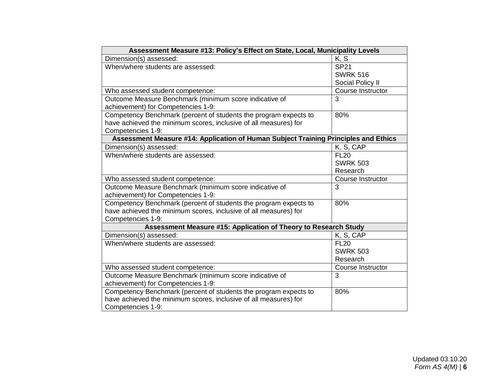| Assessment Measure #13: Policy's Effect on State, Local, Municipality Levels        |                   |
|-------------------------------------------------------------------------------------|-------------------|
| Dimension(s) assessed:                                                              | K, S              |
| When/where students are assessed:                                                   | <b>SP21</b>       |
|                                                                                     | <b>SWRK 516</b>   |
|                                                                                     | Social Policy II  |
| Who assessed student competence:                                                    | Course Instructor |
| Outcome Measure Benchmark (minimum score indicative of                              | 3                 |
| achievement) for Competencies 1-9:                                                  |                   |
| Competency Benchmark (percent of students the program expects to                    | 80%               |
| have achieved the minimum scores, inclusive of all measures) for                    |                   |
| Competencies 1-9:                                                                   |                   |
| Assessment Measure #14: Application of Human Subject Training Principles and Ethics |                   |
| Dimension(s) assessed:                                                              | K, S, CAP         |
| When/where students are assessed:                                                   | <b>FL20</b>       |
|                                                                                     | <b>SWRK 503</b>   |
|                                                                                     | Research          |
| Who assessed student competence:                                                    | Course Instructor |
| Outcome Measure Benchmark (minimum score indicative of                              | 3                 |
| achievement) for Competencies 1-9:                                                  |                   |
| Competency Benchmark (percent of students the program expects to                    | 80%               |
| have achieved the minimum scores, inclusive of all measures) for                    |                   |
| Competencies 1-9:                                                                   |                   |
| Assessment Measure #15: Application of Theory to Research Study                     |                   |
| Dimension(s) assessed:                                                              | K, S, CAP         |
| When/where students are assessed:                                                   | <b>FL20</b>       |
|                                                                                     | <b>SWRK 503</b>   |
|                                                                                     | Research          |
| Who assessed student competence:                                                    | Course Instructor |
| Outcome Measure Benchmark (minimum score indicative of                              | 3                 |
| achievement) for Competencies 1-9:                                                  |                   |
| Competency Benchmark (percent of students the program expects to                    | 80%               |
| have achieved the minimum scores, inclusive of all measures) for                    |                   |
| Competencies 1-9:                                                                   |                   |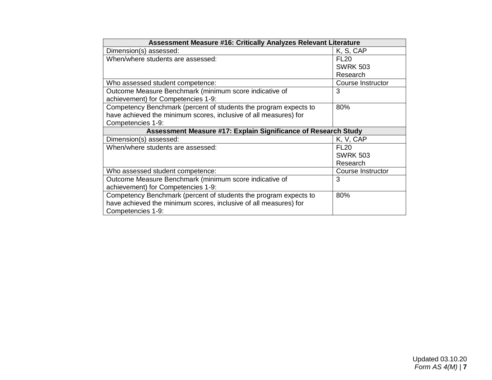| Assessment Measure #16: Critically Analyzes Relevant Literature  |                   |
|------------------------------------------------------------------|-------------------|
| Dimension(s) assessed:                                           | K, S, CAP         |
| When/where students are assessed:                                | <b>FL20</b>       |
|                                                                  | <b>SWRK 503</b>   |
|                                                                  | Research          |
| Who assessed student competence:                                 | Course Instructor |
| Outcome Measure Benchmark (minimum score indicative of           | 3                 |
| achievement) for Competencies 1-9:                               |                   |
| Competency Benchmark (percent of students the program expects to | 80%               |
| have achieved the minimum scores, inclusive of all measures) for |                   |
| Competencies 1-9:                                                |                   |
|                                                                  |                   |
| Assessment Measure #17: Explain Significance of Research Study   |                   |
| Dimension(s) assessed:                                           | K, V, CAP         |
| When/where students are assessed:                                | <b>FL20</b>       |
|                                                                  | <b>SWRK 503</b>   |
|                                                                  | Research          |
| Who assessed student competence:                                 | Course Instructor |
| Outcome Measure Benchmark (minimum score indicative of           | 3                 |
| achievement) for Competencies 1-9:                               |                   |
| Competency Benchmark (percent of students the program expects to | 80%               |
| have achieved the minimum scores, inclusive of all measures) for |                   |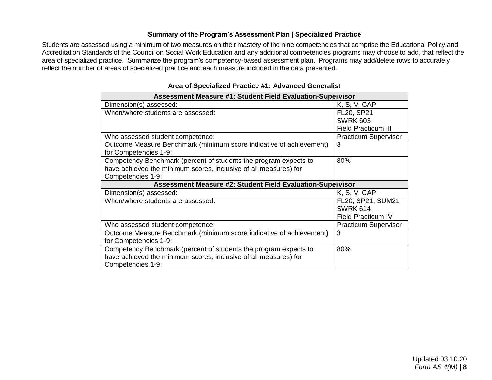# **Summary of the Program's Assessment Plan | Specialized Practice**

Students are assessed using a minimum of two measures on their mastery of the nine competencies that comprise the Educational Policy and Accreditation Standards of the Council on Social Work Education and any additional competencies programs may choose to add, that reflect the area of specialized practice. Summarize the program's competency-based assessment plan. Programs may add/delete rows to accurately reflect the number of areas of specialized practice and each measure included in the data presented.

| <b>Assessment Measure #1: Student Field Evaluation-Supervisor</b>   |                             |
|---------------------------------------------------------------------|-----------------------------|
| Dimension(s) assessed:                                              | K, S, V, CAP                |
| When/where students are assessed:                                   | FL20, SP21                  |
|                                                                     | <b>SWRK 603</b>             |
|                                                                     | <b>Field Practicum III</b>  |
| Who assessed student competence:                                    | <b>Practicum Supervisor</b> |
| Outcome Measure Benchmark (minimum score indicative of achievement) | 3                           |
| for Competencies 1-9:                                               |                             |
| Competency Benchmark (percent of students the program expects to    | 80%                         |
| have achieved the minimum scores, inclusive of all measures) for    |                             |
| Competencies 1-9:                                                   |                             |
|                                                                     |                             |
| <b>Assessment Measure #2: Student Field Evaluation-Supervisor</b>   |                             |
| Dimension(s) assessed:                                              | K, S, V, CAP                |
| When/where students are assessed:                                   | FL20, SP21, SUM21           |
|                                                                     | <b>SWRK 614</b>             |
|                                                                     | <b>Field Practicum IV</b>   |
| Who assessed student competence:                                    | <b>Practicum Supervisor</b> |
| Outcome Measure Benchmark (minimum score indicative of achievement) | 3                           |
| for Competencies 1-9:                                               |                             |
| Competency Benchmark (percent of students the program expects to    | 80%                         |
| have achieved the minimum scores, inclusive of all measures) for    |                             |

**Area of Specialized Practice #1: Advanced Generalist**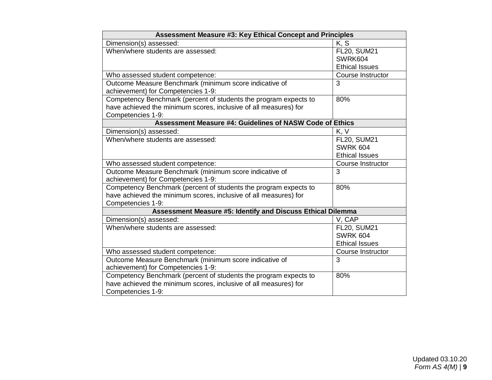| <b>Assessment Measure #3: Key Ethical Concept and Principles</b> |                       |
|------------------------------------------------------------------|-----------------------|
| Dimension(s) assessed:                                           | K, S                  |
| When/where students are assessed:                                | <b>FL20, SUM21</b>    |
|                                                                  | SWRK604               |
|                                                                  | <b>Ethical Issues</b> |
| Who assessed student competence:                                 | Course Instructor     |
| Outcome Measure Benchmark (minimum score indicative of           | $\overline{3}$        |
| achievement) for Competencies 1-9:                               |                       |
| Competency Benchmark (percent of students the program expects to | 80%                   |
| have achieved the minimum scores, inclusive of all measures) for |                       |
| Competencies 1-9:                                                |                       |
| <b>Assessment Measure #4: Guidelines of NASW Code of Ethics</b>  |                       |
| Dimension(s) assessed:                                           | K, V                  |
| When/where students are assessed:                                | <b>FL20, SUM21</b>    |
|                                                                  | <b>SWRK 604</b>       |
|                                                                  | <b>Ethical Issues</b> |
| Who assessed student competence:                                 | Course Instructor     |
| Outcome Measure Benchmark (minimum score indicative of           | 3                     |
| achievement) for Competencies 1-9:                               |                       |
| Competency Benchmark (percent of students the program expects to | 80%                   |
| have achieved the minimum scores, inclusive of all measures) for |                       |
| Competencies 1-9:                                                |                       |
| Assessment Measure #5: Identify and Discuss Ethical Dilemma      |                       |
| Dimension(s) assessed:                                           | V, CAP                |
| When/where students are assessed:                                | <b>FL20, SUM21</b>    |
|                                                                  | <b>SWRK 604</b>       |
|                                                                  | <b>Ethical Issues</b> |
| Who assessed student competence:                                 | Course Instructor     |
| Outcome Measure Benchmark (minimum score indicative of           | 3                     |
| achievement) for Competencies 1-9:                               |                       |
| Competency Benchmark (percent of students the program expects to | 80%                   |
| have achieved the minimum scores, inclusive of all measures) for |                       |
| Competencies 1-9:                                                |                       |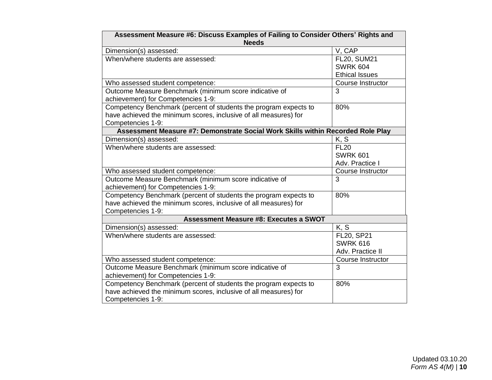| Assessment Measure #6: Discuss Examples of Failing to Consider Others' Rights and |                          |  |
|-----------------------------------------------------------------------------------|--------------------------|--|
| <b>Needs</b>                                                                      |                          |  |
| Dimension(s) assessed:                                                            | V, CAP                   |  |
| When/where students are assessed:                                                 | <b>FL20, SUM21</b>       |  |
|                                                                                   | <b>SWRK 604</b>          |  |
|                                                                                   | <b>Ethical Issues</b>    |  |
| Who assessed student competence:                                                  | Course Instructor        |  |
| Outcome Measure Benchmark (minimum score indicative of                            | 3                        |  |
| achievement) for Competencies 1-9:                                                |                          |  |
| Competency Benchmark (percent of students the program expects to                  | 80%                      |  |
| have achieved the minimum scores, inclusive of all measures) for                  |                          |  |
| Competencies 1-9:                                                                 |                          |  |
| Assessment Measure #7: Demonstrate Social Work Skills within Recorded Role Play   |                          |  |
| Dimension(s) assessed:                                                            | K, S                     |  |
| When/where students are assessed:                                                 | <b>FL20</b>              |  |
|                                                                                   | <b>SWRK 601</b>          |  |
|                                                                                   | Adv. Practice I          |  |
| Who assessed student competence:                                                  | Course Instructor        |  |
| Outcome Measure Benchmark (minimum score indicative of                            | 3                        |  |
| achievement) for Competencies 1-9:                                                |                          |  |
| Competency Benchmark (percent of students the program expects to                  | 80%                      |  |
| have achieved the minimum scores, inclusive of all measures) for                  |                          |  |
| Competencies 1-9:                                                                 |                          |  |
| <b>Assessment Measure #8: Executes a SWOT</b>                                     |                          |  |
| Dimension(s) assessed:                                                            | K, S                     |  |
| When/where students are assessed:                                                 | FL20, SP21               |  |
|                                                                                   | <b>SWRK 616</b>          |  |
|                                                                                   | Adv. Practice II         |  |
| Who assessed student competence:                                                  | <b>Course Instructor</b> |  |
| Outcome Measure Benchmark (minimum score indicative of                            | $\overline{3}$           |  |
| achievement) for Competencies 1-9:                                                |                          |  |
| Competency Benchmark (percent of students the program expects to                  | 80%                      |  |
| have achieved the minimum scores, inclusive of all measures) for                  |                          |  |
| Competencies 1-9:                                                                 |                          |  |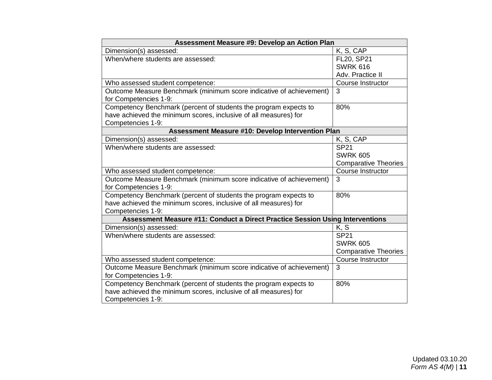| Assessment Measure #9: Develop an Action Plan                                 |                             |
|-------------------------------------------------------------------------------|-----------------------------|
| Dimension(s) assessed:                                                        | K, S, CAP                   |
| When/where students are assessed:                                             | FL20, SP21                  |
|                                                                               | <b>SWRK 616</b>             |
|                                                                               | Adv. Practice II            |
| Who assessed student competence:                                              | <b>Course Instructor</b>    |
| Outcome Measure Benchmark (minimum score indicative of achievement)           | 3                           |
| for Competencies 1-9:                                                         |                             |
| Competency Benchmark (percent of students the program expects to              | 80%                         |
| have achieved the minimum scores, inclusive of all measures) for              |                             |
| Competencies 1-9:                                                             |                             |
| Assessment Measure #10: Develop Intervention Plan                             |                             |
| Dimension(s) assessed:                                                        | K, S, CAP                   |
| When/where students are assessed:                                             | <b>SP21</b>                 |
|                                                                               | <b>SWRK 605</b>             |
|                                                                               | <b>Comparative Theories</b> |
| Who assessed student competence:                                              | Course Instructor           |
| Outcome Measure Benchmark (minimum score indicative of achievement)           | 3                           |
| for Competencies 1-9:                                                         |                             |
| Competency Benchmark (percent of students the program expects to              | 80%                         |
| have achieved the minimum scores, inclusive of all measures) for              |                             |
| Competencies 1-9:                                                             |                             |
| Assessment Measure #11: Conduct a Direct Practice Session Using Interventions |                             |
| Dimension(s) assessed:                                                        | K, S                        |
| When/where students are assessed:                                             | <b>SP21</b>                 |
|                                                                               | <b>SWRK 605</b>             |
|                                                                               | <b>Comparative Theories</b> |
| Who assessed student competence:                                              | Course Instructor           |
| Outcome Measure Benchmark (minimum score indicative of achievement)           | 3                           |
| for Competencies 1-9:                                                         |                             |
| Competency Benchmark (percent of students the program expects to              | 80%                         |
| have achieved the minimum scores, inclusive of all measures) for              |                             |
| Competencies 1-9:                                                             |                             |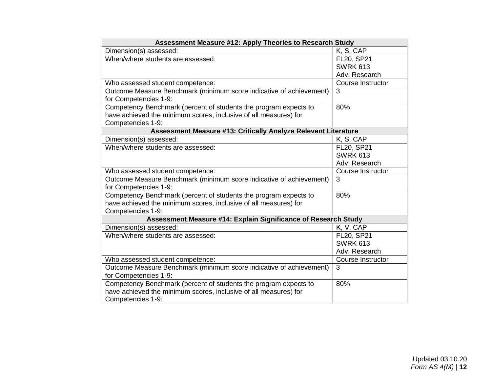| <b>Assessment Measure #12: Apply Theories to Research Study</b>       |                   |
|-----------------------------------------------------------------------|-------------------|
| Dimension(s) assessed:                                                | K, S, CAP         |
| When/where students are assessed:                                     | FL20, SP21        |
|                                                                       | <b>SWRK 613</b>   |
|                                                                       | Adv. Research     |
| Who assessed student competence:                                      | Course Instructor |
| Outcome Measure Benchmark (minimum score indicative of achievement)   | 3                 |
| for Competencies 1-9:                                                 |                   |
| Competency Benchmark (percent of students the program expects to      | 80%               |
| have achieved the minimum scores, inclusive of all measures) for      |                   |
| Competencies 1-9:                                                     |                   |
| <b>Assessment Measure #13: Critically Analyze Relevant Literature</b> |                   |
| Dimension(s) assessed:                                                | K, S, CAP         |
| When/where students are assessed:                                     | FL20, SP21        |
|                                                                       | <b>SWRK 613</b>   |
|                                                                       | Adv. Research     |
| Who assessed student competence:                                      | Course Instructor |
| Outcome Measure Benchmark (minimum score indicative of achievement)   | 3                 |
| for Competencies 1-9:                                                 |                   |
| Competency Benchmark (percent of students the program expects to      | 80%               |
| have achieved the minimum scores, inclusive of all measures) for      |                   |
| Competencies 1-9:                                                     |                   |
| Assessment Measure #14: Explain Significance of Research Study        |                   |
| Dimension(s) assessed:                                                | K, V, CAP         |
| When/where students are assessed:                                     | FL20, SP21        |
|                                                                       | <b>SWRK 613</b>   |
|                                                                       | Adv. Research     |
| Who assessed student competence:                                      | Course Instructor |
| Outcome Measure Benchmark (minimum score indicative of achievement)   | $\overline{3}$    |
| for Competencies 1-9:                                                 |                   |
| Competency Benchmark (percent of students the program expects to      | 80%               |
| have achieved the minimum scores, inclusive of all measures) for      |                   |
| Competencies 1-9:                                                     |                   |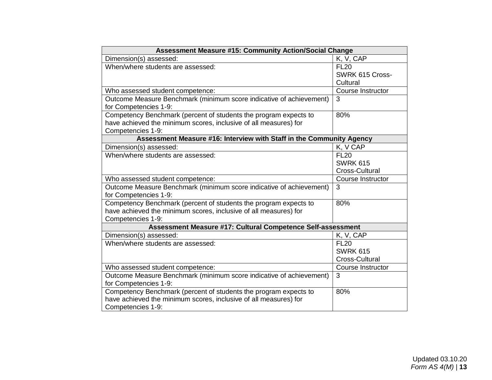| <b>Assessment Measure #15: Community Action/Social Change</b>                                |                   |
|----------------------------------------------------------------------------------------------|-------------------|
| Dimension(s) assessed:                                                                       | K, V, CAP         |
| When/where students are assessed:                                                            | <b>FL20</b>       |
|                                                                                              | SWRK 615 Cross-   |
|                                                                                              | Cultural          |
| Who assessed student competence:                                                             | Course Instructor |
| Outcome Measure Benchmark (minimum score indicative of achievement)<br>for Competencies 1-9: | 3                 |
| Competency Benchmark (percent of students the program expects to                             | 80%               |
| have achieved the minimum scores, inclusive of all measures) for                             |                   |
| Competencies 1-9:                                                                            |                   |
| Assessment Measure #16: Interview with Staff in the Community Agency                         |                   |
| Dimension(s) assessed:                                                                       | K, V CAP          |
| When/where students are assessed:                                                            | <b>FL20</b>       |
|                                                                                              | <b>SWRK 615</b>   |
|                                                                                              | Cross-Cultural    |
| Who assessed student competence:                                                             | Course Instructor |
| Outcome Measure Benchmark (minimum score indicative of achievement)                          | 3                 |
| for Competencies 1-9:                                                                        |                   |
| Competency Benchmark (percent of students the program expects to                             | 80%               |
| have achieved the minimum scores, inclusive of all measures) for                             |                   |
| Competencies 1-9:                                                                            |                   |
| Assessment Measure #17: Cultural Competence Self-assessment                                  |                   |
| Dimension(s) assessed:                                                                       | K, V, CAP         |
| When/where students are assessed:                                                            | <b>FL20</b>       |
|                                                                                              | <b>SWRK 615</b>   |
|                                                                                              | Cross-Cultural    |
| Who assessed student competence:                                                             | Course Instructor |
| Outcome Measure Benchmark (minimum score indicative of achievement)                          | 3                 |
| for Competencies 1-9:                                                                        |                   |
| Competency Benchmark (percent of students the program expects to                             | 80%               |
| have achieved the minimum scores, inclusive of all measures) for                             |                   |
| Competencies 1-9:                                                                            |                   |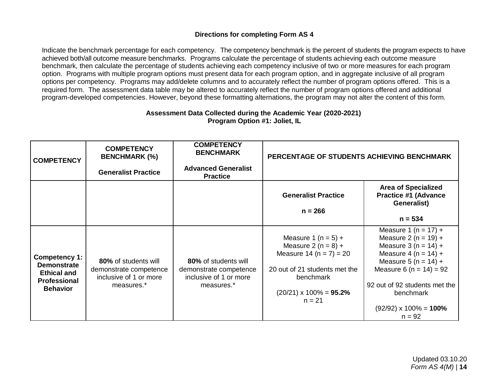# **Directions for completing Form AS 4**

Indicate the benchmark percentage for each competency. The competency benchmark is the percent of students the program expects to have achieved both/all outcome measure benchmarks. Programs calculate the percentage of students achieving each outcome measure benchmark, then calculate the percentage of students achieving each competency inclusive of two or more measures for each program option. Programs with multiple program options must present data for each program option, and in aggregate inclusive of all program options per competency. Programs may add/delete columns and to accurately reflect the number of program options offered. This is a required form. The assessment data table may be altered to accurately reflect the number of program options offered and additional program-developed competencies. However, beyond these formatting alternations, the program may not alter the content of this form.

### **Assessment Data Collected during the Academic Year (2020-2021) Program Option #1: Joliet, IL**

| <b>COMPETENCY</b>                                                                                   | <b>COMPETENCY</b><br><b>BENCHMARK (%)</b><br><b>Generalist Practice</b>                | <b>COMPETENCY</b><br><b>BENCHMARK</b><br><b>Advanced Generalist</b><br><b>Practice</b> | PERCENTAGE OF STUDENTS ACHIEVING BENCHMARK                                                                                                                                     |                                                                                                                                                                                                                                                                |
|-----------------------------------------------------------------------------------------------------|----------------------------------------------------------------------------------------|----------------------------------------------------------------------------------------|--------------------------------------------------------------------------------------------------------------------------------------------------------------------------------|----------------------------------------------------------------------------------------------------------------------------------------------------------------------------------------------------------------------------------------------------------------|
|                                                                                                     |                                                                                        |                                                                                        | <b>Generalist Practice</b><br>$n = 266$                                                                                                                                        | <b>Area of Specialized</b><br><b>Practice #1 (Advance</b><br>Generalist)                                                                                                                                                                                       |
|                                                                                                     |                                                                                        |                                                                                        |                                                                                                                                                                                | $n = 534$                                                                                                                                                                                                                                                      |
| Competency 1:<br><b>Demonstrate</b><br><b>Ethical and</b><br><b>Professional</b><br><b>Behavior</b> | 80% of students will<br>demonstrate competence<br>inclusive of 1 or more<br>measures.* | 80% of students will<br>demonstrate competence<br>inclusive of 1 or more<br>measures.* | Measure 1 ( $n = 5$ ) +<br>Measure 2 ( $n = 8$ ) +<br>Measure 14 ( $n = 7$ ) = 20<br>20 out of 21 students met the<br>benchmark<br>$(20/21) \times 100\% = 95.2\%$<br>$n = 21$ | Measure 1 (n = 17) +<br>Measure 2 ( $n = 19$ ) +<br>Measure 3 ( $n = 14$ ) +<br>Measure 4 (n = $14$ ) +<br>Measure 5 ( $n = 14$ ) +<br>Measure 6 ( $n = 14$ ) = 92<br>92 out of 92 students met the<br>benchmark<br>$(92/92) \times 100\% = 100\%$<br>$n = 92$ |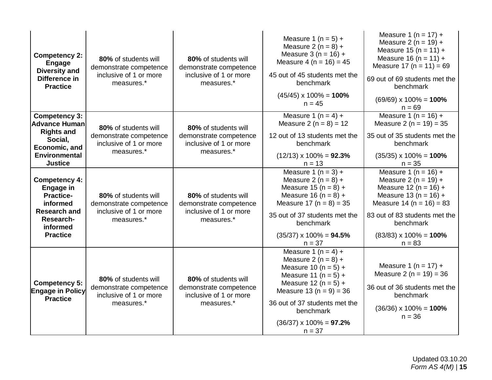| <b>Competency 2:</b><br><b>Engage</b><br><b>Diversity and</b><br>Difference in<br><b>Practice</b>                                                             | 80% of students will<br>demonstrate competence<br>inclusive of 1 or more<br>measures.* | 80% of students will<br>demonstrate competence<br>inclusive of 1 or more<br>measures.* | Measure 1 ( $n = 5$ ) +<br>Measure 2 ( $n = 8$ ) +<br>Measure $3(n = 16) +$<br>Measure 4 ( $n = 16$ ) = 45<br>45 out of 45 students met the<br>benchmark<br>$(45/45) \times 100\% = 100\%$<br>$n = 45$                                                             | Measure 1 ( $n = 17$ ) +<br>Measure 2 ( $n = 19$ ) +<br>Measure 15 (n = 11) +<br>Measure 16 (n = 11) +<br>Measure 17 ( $n = 11$ ) = 69<br>69 out of 69 students met the<br>benchmark<br>$(69/69) \times 100\% = 100\%$<br>$n = 69$                     |
|---------------------------------------------------------------------------------------------------------------------------------------------------------------|----------------------------------------------------------------------------------------|----------------------------------------------------------------------------------------|--------------------------------------------------------------------------------------------------------------------------------------------------------------------------------------------------------------------------------------------------------------------|--------------------------------------------------------------------------------------------------------------------------------------------------------------------------------------------------------------------------------------------------------|
| <b>Competency 3:</b><br><b>Advance Human</b><br><b>Rights and</b><br>Social,<br>Economic, and<br><b>Environmental</b>                                         | 80% of students will<br>demonstrate competence<br>inclusive of 1 or more<br>measures.* | 80% of students will<br>demonstrate competence<br>inclusive of 1 or more<br>measures.* | Measure 1 ( $n = 4$ ) +<br>Measure 2 ( $n = 8$ ) = 12<br>12 out of 13 students met the<br>benchmark<br>$(12/13) \times 100\% = 92.3\%$                                                                                                                             | Measure 1 ( $n = 16$ ) +<br>Measure 2 ( $n = 19$ ) = 35<br>35 out of 35 students met the<br>benchmark<br>$(35/35) \times 100\% = 100\%$                                                                                                                |
| <b>Justice</b><br><b>Competency 4:</b><br><b>Engage in</b><br><b>Practice-</b><br>informed<br><b>Research and</b><br>Research-<br>informed<br><b>Practice</b> | 80% of students will<br>demonstrate competence<br>inclusive of 1 or more<br>measures.* | 80% of students will<br>demonstrate competence<br>inclusive of 1 or more<br>measures.* | $n = 13$<br>Measure $1(n = 3) +$<br>Measure 2 ( $n = 8$ ) +<br>Measure 15 ( $n = 8$ ) +<br>Measure 16 ( $n = 8$ ) +<br>Measure 17 ( $n = 8$ ) = 35<br>35 out of 37 students met the<br>benchmark<br>$(35/37) \times 100\% = 94.5\%$<br>$n = 37$                    | $n = 35$<br>Measure 1 ( $n = 16$ ) +<br>Measure 2 ( $n = 19$ ) +<br>Measure 12 ( $n = 16$ ) +<br>Measure 13 ( $n = 16$ ) +<br>Measure 14 ( $n = 16$ ) = 83<br>83 out of 83 students met the<br>benchmark<br>$(83/83) \times 100\% = 100\%$<br>$n = 83$ |
| <b>Competency 5:</b><br><b>Engage in Policy</b><br><b>Practice</b>                                                                                            | 80% of students will<br>demonstrate competence<br>inclusive of 1 or more<br>measures.* | 80% of students will<br>demonstrate competence<br>inclusive of 1 or more<br>measures.* | Measure 1 ( $n = 4$ ) +<br>Measure 2 ( $n = 8$ ) +<br>Measure 10 ( $n = 5$ ) +<br>Measure 11 ( $n = 5$ ) +<br>Measure 12 ( $n = 5$ ) +<br>Measure 13 ( $n = 9$ ) = 36<br>36 out of 37 students met the<br>benchmark<br>$(36/37) \times 100\% = 97.2\%$<br>$n = 37$ | Measure 1 ( $n = 17$ ) +<br>Measure 2 ( $n = 19$ ) = 36<br>36 out of 36 students met the<br>benchmark<br>$(36/36) \times 100\% = 100\%$<br>$n = 36$                                                                                                    |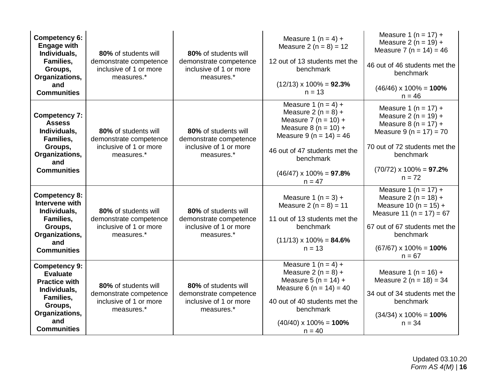| Competency 6:<br><b>Engage with</b><br>Individuals,<br>Families,<br>Groups,<br>Organizations,<br>and<br><b>Communities</b>                             | 80% of students will<br>demonstrate competence<br>inclusive of 1 or more<br>measures.* | 80% of students will<br>demonstrate competence<br>inclusive of 1 or more<br>measures.* | Measure 1 ( $n = 4$ ) +<br>Measure 2 ( $n = 8$ ) = 12<br>12 out of 13 students met the<br>benchmark<br>$(12/13) \times 100\% = 92.3\%$<br>$n = 13$                                                                              | Measure 1 ( $n = 17$ ) +<br>Measure 2 ( $n = 19$ ) +<br>Measure 7 ( $n = 14$ ) = 46<br>46 out of 46 students met the<br>benchmark<br>$(46/46) \times 100\% = 100\%$<br>$n = 46$                      |
|--------------------------------------------------------------------------------------------------------------------------------------------------------|----------------------------------------------------------------------------------------|----------------------------------------------------------------------------------------|---------------------------------------------------------------------------------------------------------------------------------------------------------------------------------------------------------------------------------|------------------------------------------------------------------------------------------------------------------------------------------------------------------------------------------------------|
| <b>Competency 7:</b><br><b>Assess</b><br>Individuals,<br><b>Families,</b><br>Groups,<br>Organizations,<br>and<br><b>Communities</b>                    | 80% of students will<br>demonstrate competence<br>inclusive of 1 or more<br>measures.* | 80% of students will<br>demonstrate competence<br>inclusive of 1 or more<br>measures.* | Measure 1 (n = 4) +<br>Measure 2 ( $n = 8$ ) +<br>Measure 7 ( $n = 10$ ) +<br>Measure $8(n = 10) +$<br>Measure 9 ( $n = 14$ ) = 46<br>46 out of 47 students met the<br>benchmark<br>$(46/47) \times 100\% = 97.8\%$<br>$n = 47$ | Measure 1 ( $n = 17$ ) +<br>Measure $2 (n = 19) +$<br>Measure $8(n = 17) +$<br>Measure $9(n = 17) = 70$<br>70 out of 72 students met the<br>benchmark<br>$(70/72) \times 100\% = 97.2\%$<br>$n = 72$ |
| <b>Competency 8:</b><br>Intervene with<br>Individuals,<br>Families,<br>Groups,<br>Organizations,<br>and<br><b>Communities</b>                          | 80% of students will<br>demonstrate competence<br>inclusive of 1 or more<br>measures.* | 80% of students will<br>demonstrate competence<br>inclusive of 1 or more<br>measures.* | Measure 1 ( $n = 3$ ) +<br>Measure 2 ( $n = 8$ ) = 11<br>11 out of 13 students met the<br>benchmark<br>$(11/13) \times 100\% = 84.6\%$<br>$n = 13$                                                                              | Measure 1 ( $n = 17$ ) +<br>Measure $2 (n = 18) +$<br>Measure 10 ( $n = 15$ ) +<br>Measure 11 ( $n = 17$ ) = 67<br>67 out of 67 students met the<br>benchmark<br>$(67/67)$ x 100% = 100%<br>$n = 67$ |
| <b>Competency 9:</b><br><b>Evaluate</b><br><b>Practice with</b><br>Individuals,<br>Families,<br>Groups,<br>Organizations,<br>and<br><b>Communities</b> | 80% of students will<br>demonstrate competence<br>inclusive of 1 or more<br>measures.* | 80% of students will<br>demonstrate competence<br>inclusive of 1 or more<br>measures.* | Measure 1 ( $n = 4$ ) +<br>Measure 2 ( $n = 8$ ) +<br>Measure 5 ( $n = 14$ ) +<br>Measure 6 ( $n = 14$ ) = 40<br>40 out of 40 students met the<br>benchmark<br>$(40/40) \times 100\% = 100\%$<br>$n = 40$                       | Measure 1 ( $n = 16$ ) +<br>Measure 2 ( $n = 18$ ) = 34<br>34 out of 34 students met the<br>benchmark<br>$(34/34) \times 100\% = 100\%$<br>$n = 34$                                                  |